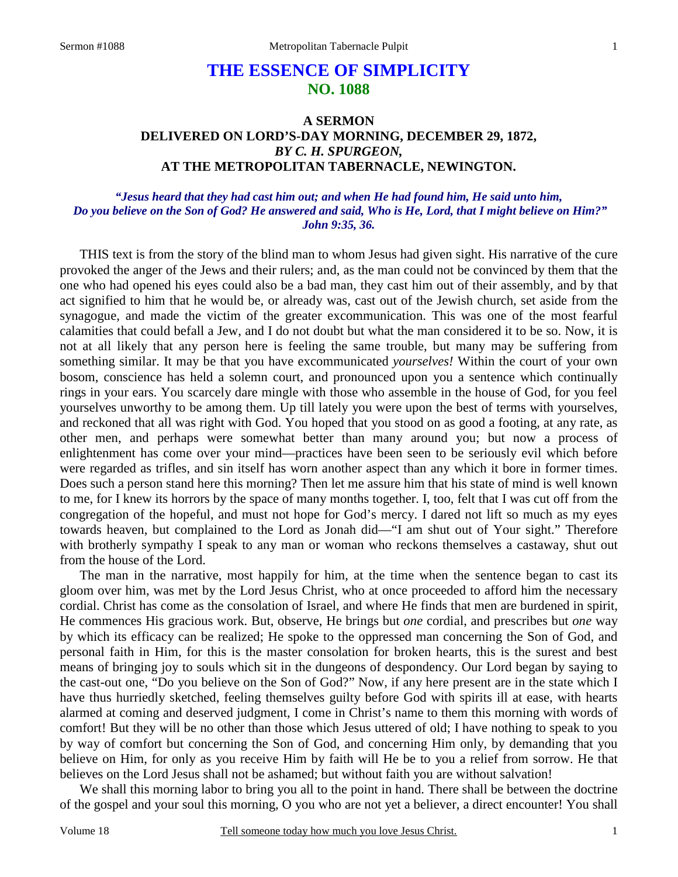## **THE ESSENCE OF SIMPLICITY NO. 1088**

## **A SERMON DELIVERED ON LORD'S-DAY MORNING, DECEMBER 29, 1872,** *BY C. H. SPURGEON,*  **AT THE METROPOLITAN TABERNACLE, NEWINGTON.**

## *"Jesus heard that they had cast him out; and when He had found him, He said unto him, Do you believe on the Son of God? He answered and said, Who is He, Lord, that I might believe on Him?" John 9:35, 36.*

THIS text is from the story of the blind man to whom Jesus had given sight. His narrative of the cure provoked the anger of the Jews and their rulers; and, as the man could not be convinced by them that the one who had opened his eyes could also be a bad man, they cast him out of their assembly, and by that act signified to him that he would be, or already was, cast out of the Jewish church, set aside from the synagogue, and made the victim of the greater excommunication. This was one of the most fearful calamities that could befall a Jew, and I do not doubt but what the man considered it to be so. Now, it is not at all likely that any person here is feeling the same trouble, but many may be suffering from something similar. It may be that you have excommunicated *yourselves!* Within the court of your own bosom, conscience has held a solemn court, and pronounced upon you a sentence which continually rings in your ears. You scarcely dare mingle with those who assemble in the house of God, for you feel yourselves unworthy to be among them. Up till lately you were upon the best of terms with yourselves, and reckoned that all was right with God. You hoped that you stood on as good a footing, at any rate, as other men, and perhaps were somewhat better than many around you; but now a process of enlightenment has come over your mind—practices have been seen to be seriously evil which before were regarded as trifles, and sin itself has worn another aspect than any which it bore in former times. Does such a person stand here this morning? Then let me assure him that his state of mind is well known to me, for I knew its horrors by the space of many months together. I, too, felt that I was cut off from the congregation of the hopeful, and must not hope for God's mercy. I dared not lift so much as my eyes towards heaven, but complained to the Lord as Jonah did—"I am shut out of Your sight." Therefore with brotherly sympathy I speak to any man or woman who reckons themselves a castaway, shut out from the house of the Lord.

The man in the narrative, most happily for him, at the time when the sentence began to cast its gloom over him, was met by the Lord Jesus Christ, who at once proceeded to afford him the necessary cordial. Christ has come as the consolation of Israel, and where He finds that men are burdened in spirit, He commences His gracious work. But, observe, He brings but *one* cordial, and prescribes but *one* way by which its efficacy can be realized; He spoke to the oppressed man concerning the Son of God, and personal faith in Him, for this is the master consolation for broken hearts, this is the surest and best means of bringing joy to souls which sit in the dungeons of despondency. Our Lord began by saying to the cast-out one, "Do you believe on the Son of God?" Now, if any here present are in the state which I have thus hurriedly sketched, feeling themselves guilty before God with spirits ill at ease, with hearts alarmed at coming and deserved judgment, I come in Christ's name to them this morning with words of comfort! But they will be no other than those which Jesus uttered of old; I have nothing to speak to you by way of comfort but concerning the Son of God, and concerning Him only, by demanding that you believe on Him, for only as you receive Him by faith will He be to you a relief from sorrow. He that believes on the Lord Jesus shall not be ashamed; but without faith you are without salvation!

We shall this morning labor to bring you all to the point in hand. There shall be between the doctrine of the gospel and your soul this morning, O you who are not yet a believer, a direct encounter! You shall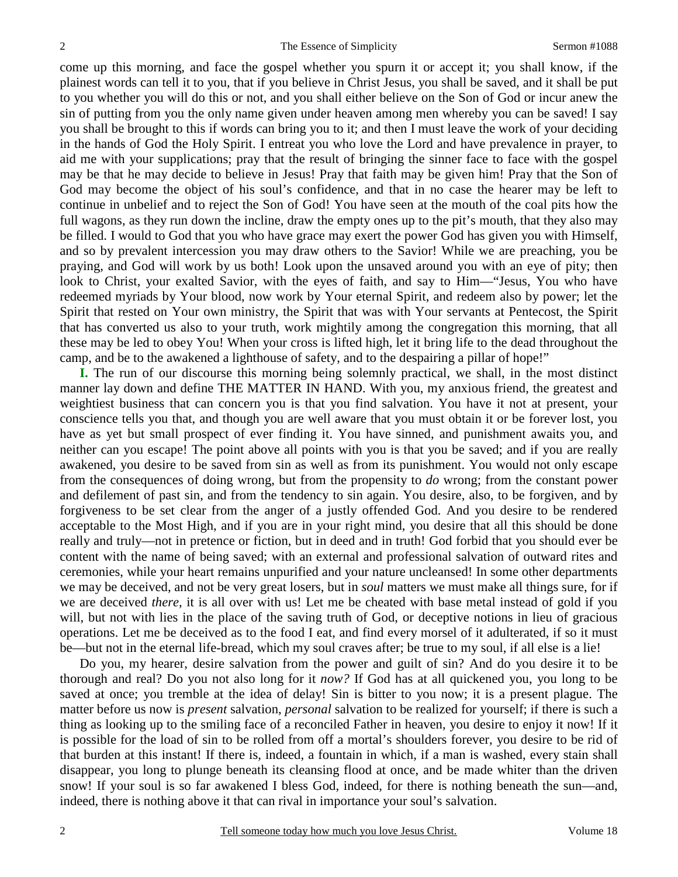come up this morning, and face the gospel whether you spurn it or accept it; you shall know, if the plainest words can tell it to you, that if you believe in Christ Jesus, you shall be saved, and it shall be put to you whether you will do this or not, and you shall either believe on the Son of God or incur anew the sin of putting from you the only name given under heaven among men whereby you can be saved! I say you shall be brought to this if words can bring you to it; and then I must leave the work of your deciding in the hands of God the Holy Spirit. I entreat you who love the Lord and have prevalence in prayer, to aid me with your supplications; pray that the result of bringing the sinner face to face with the gospel may be that he may decide to believe in Jesus! Pray that faith may be given him! Pray that the Son of God may become the object of his soul's confidence, and that in no case the hearer may be left to continue in unbelief and to reject the Son of God! You have seen at the mouth of the coal pits how the full wagons, as they run down the incline, draw the empty ones up to the pit's mouth, that they also may be filled. I would to God that you who have grace may exert the power God has given you with Himself, and so by prevalent intercession you may draw others to the Savior! While we are preaching, you be praying, and God will work by us both! Look upon the unsaved around you with an eye of pity; then look to Christ, your exalted Savior, with the eyes of faith, and say to Him—"Jesus, You who have redeemed myriads by Your blood, now work by Your eternal Spirit, and redeem also by power; let the Spirit that rested on Your own ministry, the Spirit that was with Your servants at Pentecost, the Spirit that has converted us also to your truth, work mightily among the congregation this morning, that all these may be led to obey You! When your cross is lifted high, let it bring life to the dead throughout the camp, and be to the awakened a lighthouse of safety, and to the despairing a pillar of hope!"

**I.** The run of our discourse this morning being solemnly practical, we shall, in the most distinct manner lay down and define THE MATTER IN HAND. With you, my anxious friend, the greatest and weightiest business that can concern you is that you find salvation. You have it not at present, your conscience tells you that, and though you are well aware that you must obtain it or be forever lost, you have as yet but small prospect of ever finding it. You have sinned, and punishment awaits you, and neither can you escape! The point above all points with you is that you be saved; and if you are really awakened, you desire to be saved from sin as well as from its punishment. You would not only escape from the consequences of doing wrong, but from the propensity to *do* wrong; from the constant power and defilement of past sin, and from the tendency to sin again. You desire, also, to be forgiven, and by forgiveness to be set clear from the anger of a justly offended God. And you desire to be rendered acceptable to the Most High, and if you are in your right mind, you desire that all this should be done really and truly—not in pretence or fiction, but in deed and in truth! God forbid that you should ever be content with the name of being saved; with an external and professional salvation of outward rites and ceremonies, while your heart remains unpurified and your nature uncleansed! In some other departments we may be deceived, and not be very great losers, but in *soul* matters we must make all things sure, for if we are deceived *there,* it is all over with us! Let me be cheated with base metal instead of gold if you will, but not with lies in the place of the saving truth of God, or deceptive notions in lieu of gracious operations. Let me be deceived as to the food I eat, and find every morsel of it adulterated, if so it must be—but not in the eternal life-bread, which my soul craves after; be true to my soul, if all else is a lie!

Do you, my hearer, desire salvation from the power and guilt of sin? And do you desire it to be thorough and real? Do you not also long for it *now?* If God has at all quickened you, you long to be saved at once; you tremble at the idea of delay! Sin is bitter to you now; it is a present plague. The matter before us now is *present* salvation, *personal* salvation to be realized for yourself; if there is such a thing as looking up to the smiling face of a reconciled Father in heaven, you desire to enjoy it now! If it is possible for the load of sin to be rolled from off a mortal's shoulders forever, you desire to be rid of that burden at this instant! If there is, indeed, a fountain in which, if a man is washed, every stain shall disappear, you long to plunge beneath its cleansing flood at once, and be made whiter than the driven snow! If your soul is so far awakened I bless God, indeed, for there is nothing beneath the sun—and, indeed, there is nothing above it that can rival in importance your soul's salvation.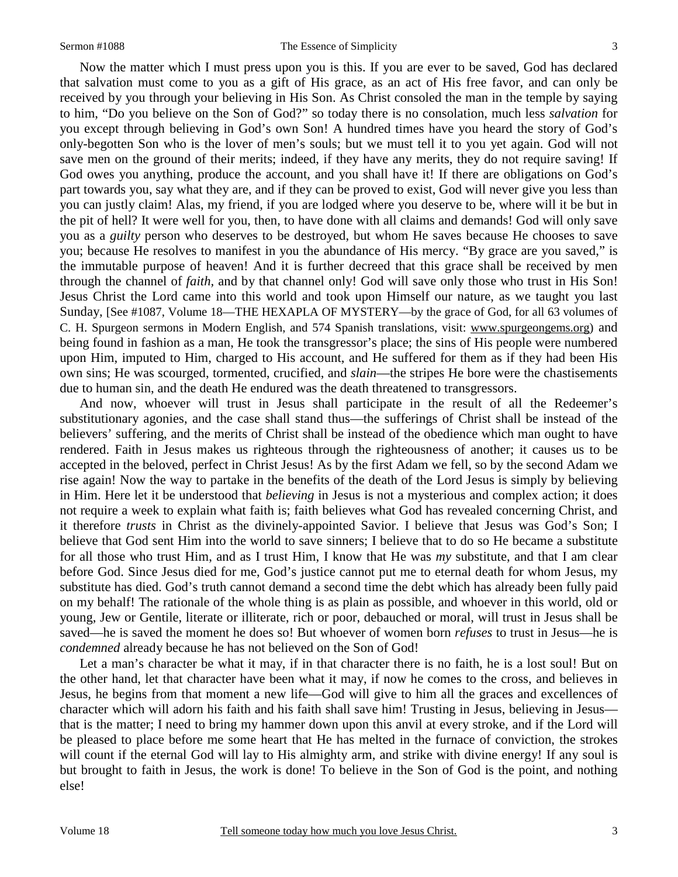Now the matter which I must press upon you is this. If you are ever to be saved, God has declared that salvation must come to you as a gift of His grace, as an act of His free favor, and can only be received by you through your believing in His Son. As Christ consoled the man in the temple by saying to him, "Do you believe on the Son of God?" so today there is no consolation, much less *salvation* for you except through believing in God's own Son! A hundred times have you heard the story of God's only-begotten Son who is the lover of men's souls; but we must tell it to you yet again. God will not save men on the ground of their merits; indeed, if they have any merits, they do not require saving! If God owes you anything, produce the account, and you shall have it! If there are obligations on God's part towards you, say what they are, and if they can be proved to exist, God will never give you less than you can justly claim! Alas, my friend, if you are lodged where you deserve to be, where will it be but in the pit of hell? It were well for you, then, to have done with all claims and demands! God will only save you as a *guilty* person who deserves to be destroyed, but whom He saves because He chooses to save you; because He resolves to manifest in you the abundance of His mercy. "By grace are you saved," is the immutable purpose of heaven! And it is further decreed that this grace shall be received by men through the channel of *faith,* and by that channel only! God will save only those who trust in His Son! Jesus Christ the Lord came into this world and took upon Himself our nature, as we taught you last Sunday, [See #1087, Volume 18—THE HEXAPLA OF MYSTERY—by the grace of God, for all 63 volumes of C. H. Spurgeon sermons in Modern English, and 574 Spanish translations, visit: www.spurgeongems.org) and being found in fashion as a man, He took the transgressor's place; the sins of His people were numbered upon Him, imputed to Him, charged to His account, and He suffered for them as if they had been His own sins; He was scourged, tormented, crucified, and *slain*—the stripes He bore were the chastisements due to human sin, and the death He endured was the death threatened to transgressors.

And now, whoever will trust in Jesus shall participate in the result of all the Redeemer's substitutionary agonies, and the case shall stand thus—the sufferings of Christ shall be instead of the believers' suffering, and the merits of Christ shall be instead of the obedience which man ought to have rendered. Faith in Jesus makes us righteous through the righteousness of another; it causes us to be accepted in the beloved, perfect in Christ Jesus! As by the first Adam we fell, so by the second Adam we rise again! Now the way to partake in the benefits of the death of the Lord Jesus is simply by believing in Him. Here let it be understood that *believing* in Jesus is not a mysterious and complex action; it does not require a week to explain what faith is; faith believes what God has revealed concerning Christ, and it therefore *trusts* in Christ as the divinely-appointed Savior. I believe that Jesus was God's Son; I believe that God sent Him into the world to save sinners; I believe that to do so He became a substitute for all those who trust Him, and as I trust Him, I know that He was *my* substitute, and that I am clear before God. Since Jesus died for me, God's justice cannot put me to eternal death for whom Jesus, my substitute has died. God's truth cannot demand a second time the debt which has already been fully paid on my behalf! The rationale of the whole thing is as plain as possible, and whoever in this world, old or young, Jew or Gentile, literate or illiterate, rich or poor, debauched or moral, will trust in Jesus shall be saved—he is saved the moment he does so! But whoever of women born *refuses* to trust in Jesus—he is *condemned* already because he has not believed on the Son of God!

Let a man's character be what it may, if in that character there is no faith, he is a lost soul! But on the other hand, let that character have been what it may, if now he comes to the cross, and believes in Jesus, he begins from that moment a new life—God will give to him all the graces and excellences of character which will adorn his faith and his faith shall save him! Trusting in Jesus, believing in Jesus that is the matter; I need to bring my hammer down upon this anvil at every stroke, and if the Lord will be pleased to place before me some heart that He has melted in the furnace of conviction, the strokes will count if the eternal God will lay to His almighty arm, and strike with divine energy! If any soul is but brought to faith in Jesus, the work is done! To believe in the Son of God is the point, and nothing else!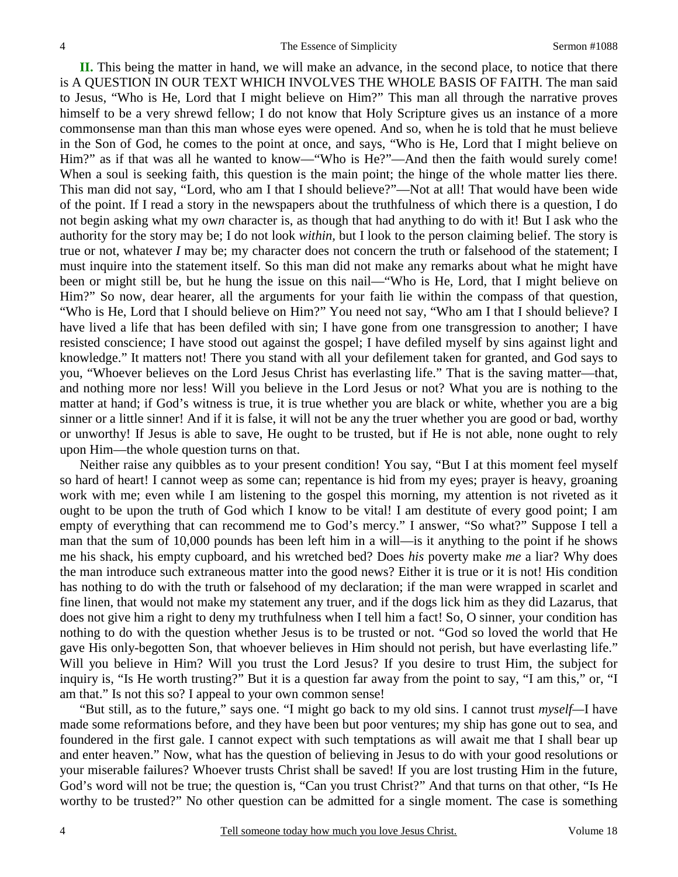**II.** This being the matter in hand, we will make an advance, in the second place, to notice that there is A QUESTION IN OUR TEXT WHICH INVOLVES THE WHOLE BASIS OF FAITH. The man said to Jesus, "Who is He, Lord that I might believe on Him?" This man all through the narrative proves himself to be a very shrewd fellow; I do not know that Holy Scripture gives us an instance of a more commonsense man than this man whose eyes were opened. And so, when he is told that he must believe in the Son of God, he comes to the point at once, and says, "Who is He, Lord that I might believe on Him?" as if that was all he wanted to know—"Who is He?"—And then the faith would surely come! When a soul is seeking faith, this question is the main point; the hinge of the whole matter lies there. This man did not say, "Lord, who am I that I should believe?"—Not at all! That would have been wide of the point. If I read a story in the newspapers about the truthfulness of which there is a question, I do not begin asking what my ow*n* character is, as though that had anything to do with it! But I ask who the authority for the story may be; I do not look *within,* but I look to the person claiming belief. The story is true or not, whatever *I* may be; my character does not concern the truth or falsehood of the statement; I must inquire into the statement itself. So this man did not make any remarks about what he might have been or might still be, but he hung the issue on this nail—"Who is He, Lord, that I might believe on Him?" So now, dear hearer, all the arguments for your faith lie within the compass of that question, "Who is He, Lord that I should believe on Him?" You need not say, "Who am I that I should believe? I have lived a life that has been defiled with sin; I have gone from one transgression to another; I have resisted conscience; I have stood out against the gospel; I have defiled myself by sins against light and knowledge." It matters not! There you stand with all your defilement taken for granted, and God says to you, "Whoever believes on the Lord Jesus Christ has everlasting life." That is the saving matter—that, and nothing more nor less! Will you believe in the Lord Jesus or not? What you are is nothing to the matter at hand; if God's witness is true, it is true whether you are black or white, whether you are a big sinner or a little sinner! And if it is false, it will not be any the truer whether you are good or bad, worthy or unworthy! If Jesus is able to save, He ought to be trusted, but if He is not able, none ought to rely upon Him—the whole question turns on that.

Neither raise any quibbles as to your present condition! You say, "But I at this moment feel myself so hard of heart! I cannot weep as some can; repentance is hid from my eyes; prayer is heavy, groaning work with me; even while I am listening to the gospel this morning, my attention is not riveted as it ought to be upon the truth of God which I know to be vital! I am destitute of every good point; I am empty of everything that can recommend me to God's mercy." I answer, "So what?" Suppose I tell a man that the sum of 10,000 pounds has been left him in a will—is it anything to the point if he shows me his shack, his empty cupboard, and his wretched bed? Does *his* poverty make *me* a liar? Why does the man introduce such extraneous matter into the good news? Either it is true or it is not! His condition has nothing to do with the truth or falsehood of my declaration; if the man were wrapped in scarlet and fine linen, that would not make my statement any truer, and if the dogs lick him as they did Lazarus, that does not give him a right to deny my truthfulness when I tell him a fact! So, O sinner, your condition has nothing to do with the question whether Jesus is to be trusted or not. "God so loved the world that He gave His only-begotten Son, that whoever believes in Him should not perish, but have everlasting life." Will you believe in Him? Will you trust the Lord Jesus? If you desire to trust Him, the subject for inquiry is, "Is He worth trusting?" But it is a question far away from the point to say, "I am this," or, "I am that." Is not this so? I appeal to your own common sense!

"But still, as to the future," says one. "I might go back to my old sins. I cannot trust *myself—*I have made some reformations before, and they have been but poor ventures; my ship has gone out to sea, and foundered in the first gale. I cannot expect with such temptations as will await me that I shall bear up and enter heaven." Now, what has the question of believing in Jesus to do with your good resolutions or your miserable failures? Whoever trusts Christ shall be saved! If you are lost trusting Him in the future, God's word will not be true; the question is, "Can you trust Christ?" And that turns on that other, "Is He worthy to be trusted?" No other question can be admitted for a single moment. The case is something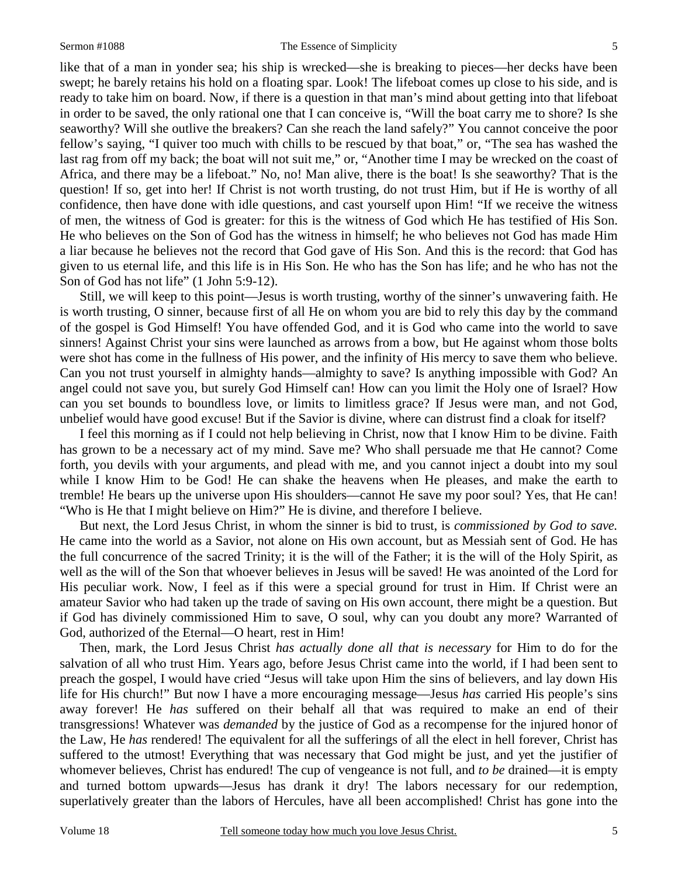5

like that of a man in yonder sea; his ship is wrecked—she is breaking to pieces—her decks have been swept; he barely retains his hold on a floating spar. Look! The lifeboat comes up close to his side, and is ready to take him on board. Now, if there is a question in that man's mind about getting into that lifeboat in order to be saved, the only rational one that I can conceive is, "Will the boat carry me to shore? Is she seaworthy? Will she outlive the breakers? Can she reach the land safely?" You cannot conceive the poor fellow's saying, "I quiver too much with chills to be rescued by that boat," or, "The sea has washed the last rag from off my back; the boat will not suit me," or, "Another time I may be wrecked on the coast of Africa, and there may be a lifeboat." No, no! Man alive, there is the boat! Is she seaworthy? That is the question! If so, get into her! If Christ is not worth trusting, do not trust Him, but if He is worthy of all confidence, then have done with idle questions, and cast yourself upon Him! "If we receive the witness of men, the witness of God is greater: for this is the witness of God which He has testified of His Son. He who believes on the Son of God has the witness in himself; he who believes not God has made Him a liar because he believes not the record that God gave of His Son. And this is the record: that God has given to us eternal life, and this life is in His Son. He who has the Son has life; and he who has not the Son of God has not life" (1 John 5:9-12).

Still, we will keep to this point—Jesus is worth trusting, worthy of the sinner's unwavering faith. He is worth trusting, O sinner, because first of all He on whom you are bid to rely this day by the command of the gospel is God Himself! You have offended God, and it is God who came into the world to save sinners! Against Christ your sins were launched as arrows from a bow, but He against whom those bolts were shot has come in the fullness of His power, and the infinity of His mercy to save them who believe. Can you not trust yourself in almighty hands—almighty to save? Is anything impossible with God? An angel could not save you, but surely God Himself can! How can you limit the Holy one of Israel? How can you set bounds to boundless love, or limits to limitless grace? If Jesus were man, and not God, unbelief would have good excuse! But if the Savior is divine, where can distrust find a cloak for itself?

I feel this morning as if I could not help believing in Christ, now that I know Him to be divine. Faith has grown to be a necessary act of my mind. Save me? Who shall persuade me that He cannot? Come forth, you devils with your arguments, and plead with me, and you cannot inject a doubt into my soul while I know Him to be God! He can shake the heavens when He pleases, and make the earth to tremble! He bears up the universe upon His shoulders—cannot He save my poor soul? Yes, that He can! "Who is He that I might believe on Him?" He is divine, and therefore I believe.

But next, the Lord Jesus Christ, in whom the sinner is bid to trust, is *commissioned by God to save.* He came into the world as a Savior, not alone on His own account, but as Messiah sent of God. He has the full concurrence of the sacred Trinity; it is the will of the Father; it is the will of the Holy Spirit, as well as the will of the Son that whoever believes in Jesus will be saved! He was anointed of the Lord for His peculiar work. Now, I feel as if this were a special ground for trust in Him. If Christ were an amateur Savior who had taken up the trade of saving on His own account, there might be a question. But if God has divinely commissioned Him to save, O soul, why can you doubt any more? Warranted of God, authorized of the Eternal—O heart, rest in Him!

Then, mark, the Lord Jesus Christ *has actually done all that is necessary* for Him to do for the salvation of all who trust Him. Years ago, before Jesus Christ came into the world, if I had been sent to preach the gospel, I would have cried "Jesus will take upon Him the sins of believers, and lay down His life for His church!" But now I have a more encouraging message—Jesus *has* carried His people's sins away forever! He *has* suffered on their behalf all that was required to make an end of their transgressions! Whatever was *demanded* by the justice of God as a recompense for the injured honor of the Law, He *has* rendered! The equivalent for all the sufferings of all the elect in hell forever, Christ has suffered to the utmost! Everything that was necessary that God might be just, and yet the justifier of whomever believes, Christ has endured! The cup of vengeance is not full, and *to be* drained—it is empty and turned bottom upwards—Jesus has drank it dry! The labors necessary for our redemption, superlatively greater than the labors of Hercules, have all been accomplished! Christ has gone into the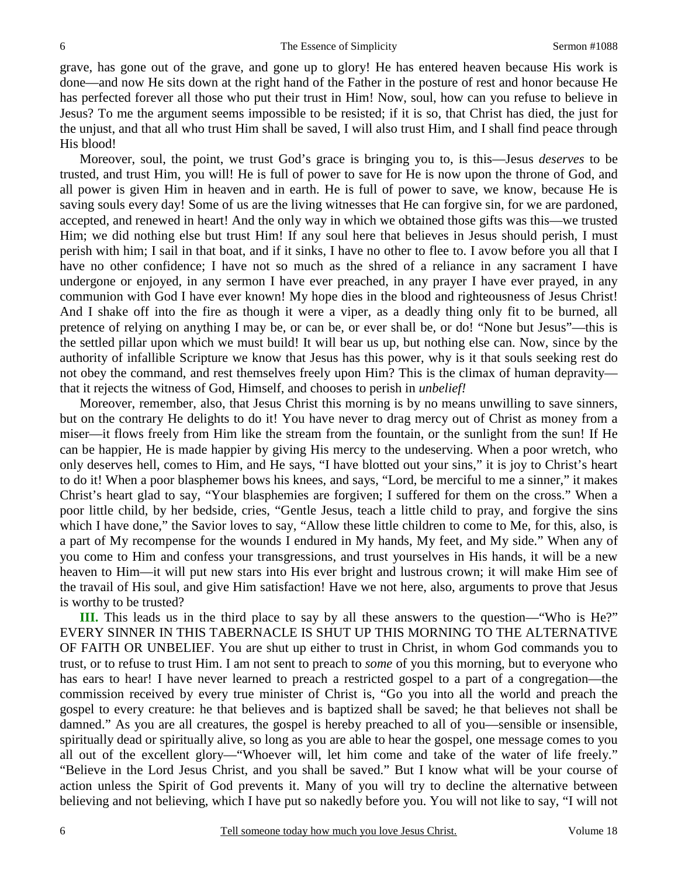grave, has gone out of the grave, and gone up to glory! He has entered heaven because His work is done—and now He sits down at the right hand of the Father in the posture of rest and honor because He has perfected forever all those who put their trust in Him! Now, soul, how can you refuse to believe in Jesus? To me the argument seems impossible to be resisted; if it is so, that Christ has died, the just for the unjust, and that all who trust Him shall be saved, I will also trust Him, and I shall find peace through His blood!

Moreover, soul, the point, we trust God's grace is bringing you to, is this—Jesus *deserves* to be trusted, and trust Him, you will! He is full of power to save for He is now upon the throne of God, and all power is given Him in heaven and in earth. He is full of power to save, we know, because He is saving souls every day! Some of us are the living witnesses that He can forgive sin, for we are pardoned, accepted, and renewed in heart! And the only way in which we obtained those gifts was this—we trusted Him; we did nothing else but trust Him! If any soul here that believes in Jesus should perish, I must perish with him; I sail in that boat, and if it sinks, I have no other to flee to. I avow before you all that I have no other confidence; I have not so much as the shred of a reliance in any sacrament I have undergone or enjoyed, in any sermon I have ever preached, in any prayer I have ever prayed, in any communion with God I have ever known! My hope dies in the blood and righteousness of Jesus Christ! And I shake off into the fire as though it were a viper, as a deadly thing only fit to be burned, all pretence of relying on anything I may be, or can be, or ever shall be, or do! "None but Jesus"—this is the settled pillar upon which we must build! It will bear us up, but nothing else can. Now, since by the authority of infallible Scripture we know that Jesus has this power, why is it that souls seeking rest do not obey the command, and rest themselves freely upon Him? This is the climax of human depravity that it rejects the witness of God, Himself, and chooses to perish in *unbelief!*

Moreover, remember, also, that Jesus Christ this morning is by no means unwilling to save sinners, but on the contrary He delights to do it! You have never to drag mercy out of Christ as money from a miser—it flows freely from Him like the stream from the fountain, or the sunlight from the sun! If He can be happier, He is made happier by giving His mercy to the undeserving. When a poor wretch, who only deserves hell, comes to Him, and He says, "I have blotted out your sins," it is joy to Christ's heart to do it! When a poor blasphemer bows his knees, and says, "Lord, be merciful to me a sinner," it makes Christ's heart glad to say, "Your blasphemies are forgiven; I suffered for them on the cross." When a poor little child, by her bedside, cries, "Gentle Jesus, teach a little child to pray, and forgive the sins which I have done," the Savior loves to say, "Allow these little children to come to Me, for this, also, is a part of My recompense for the wounds I endured in My hands, My feet, and My side." When any of you come to Him and confess your transgressions, and trust yourselves in His hands, it will be a new heaven to Him—it will put new stars into His ever bright and lustrous crown; it will make Him see of the travail of His soul, and give Him satisfaction! Have we not here, also, arguments to prove that Jesus is worthy to be trusted?

**III.** This leads us in the third place to say by all these answers to the question—"Who is He?" EVERY SINNER IN THIS TABERNACLE IS SHUT UP THIS MORNING TO THE ALTERNATIVE OF FAITH OR UNBELIEF. You are shut up either to trust in Christ, in whom God commands you to trust, or to refuse to trust Him. I am not sent to preach to *some* of you this morning, but to everyone who has ears to hear! I have never learned to preach a restricted gospel to a part of a congregation—the commission received by every true minister of Christ is, "Go you into all the world and preach the gospel to every creature: he that believes and is baptized shall be saved; he that believes not shall be damned." As you are all creatures, the gospel is hereby preached to all of you—sensible or insensible, spiritually dead or spiritually alive, so long as you are able to hear the gospel, one message comes to you all out of the excellent glory—"Whoever will, let him come and take of the water of life freely." "Believe in the Lord Jesus Christ, and you shall be saved." But I know what will be your course of action unless the Spirit of God prevents it. Many of you will try to decline the alternative between believing and not believing, which I have put so nakedly before you. You will not like to say, "I will not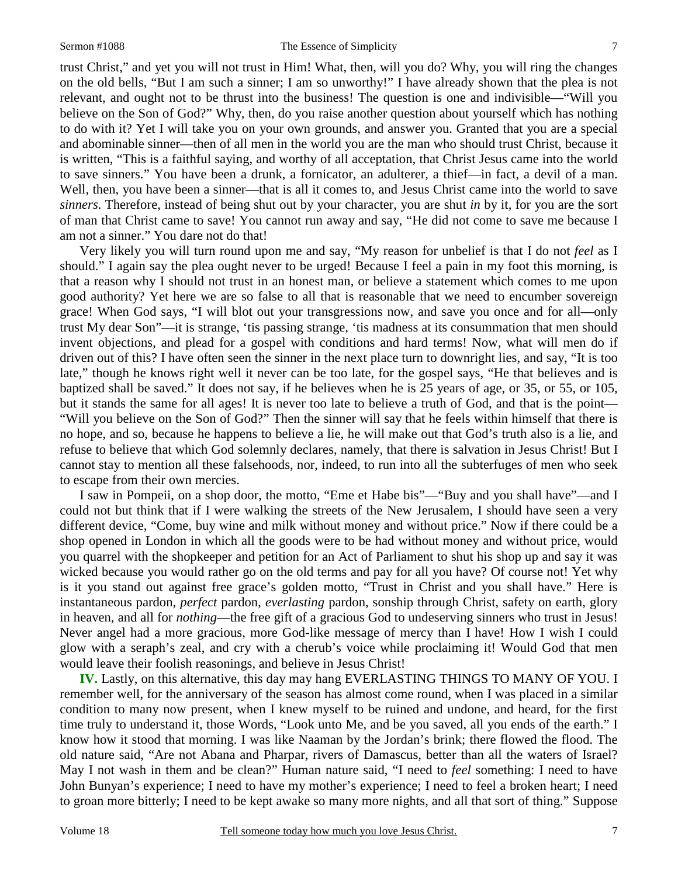#### Sermon #1088 The Essence of Simplicity

trust Christ," and yet you will not trust in Him! What, then, will you do? Why, you will ring the changes on the old bells, "But I am such a sinner; I am so unworthy!" I have already shown that the plea is not relevant, and ought not to be thrust into the business! The question is one and indivisible—"Will you believe on the Son of God?" Why, then, do you raise another question about yourself which has nothing to do with it? Yet I will take you on your own grounds, and answer you. Granted that you are a special and abominable sinner—then of all men in the world you are the man who should trust Christ, because it is written, "This is a faithful saying, and worthy of all acceptation, that Christ Jesus came into the world to save sinners." You have been a drunk, a fornicator, an adulterer, a thief—in fact, a devil of a man. Well, then, you have been a sinner—that is all it comes to, and Jesus Christ came into the world to save *sinners*. Therefore, instead of being shut out by your character, you are shut *in* by it, for you are the sort of man that Christ came to save! You cannot run away and say, "He did not come to save me because I am not a sinner." You dare not do that!

Very likely you will turn round upon me and say, "My reason for unbelief is that I do not *feel* as I should." I again say the plea ought never to be urged! Because I feel a pain in my foot this morning, is that a reason why I should not trust in an honest man, or believe a statement which comes to me upon good authority? Yet here we are so false to all that is reasonable that we need to encumber sovereign grace! When God says, "I will blot out your transgressions now, and save you once and for all—only trust My dear Son"—it is strange, 'tis passing strange, 'tis madness at its consummation that men should invent objections, and plead for a gospel with conditions and hard terms! Now, what will men do if driven out of this? I have often seen the sinner in the next place turn to downright lies, and say, "It is too late," though he knows right well it never can be too late, for the gospel says, "He that believes and is baptized shall be saved." It does not say, if he believes when he is 25 years of age, or 35, or 55, or 105, but it stands the same for all ages! It is never too late to believe a truth of God, and that is the point— "Will you believe on the Son of God?" Then the sinner will say that he feels within himself that there is no hope, and so, because he happens to believe a lie, he will make out that God's truth also is a lie, and refuse to believe that which God solemnly declares, namely, that there is salvation in Jesus Christ! But I cannot stay to mention all these falsehoods, nor, indeed, to run into all the subterfuges of men who seek to escape from their own mercies.

I saw in Pompeii, on a shop door, the motto, "Eme et Habe bis"—"Buy and you shall have"—and I could not but think that if I were walking the streets of the New Jerusalem, I should have seen a very different device, "Come, buy wine and milk without money and without price." Now if there could be a shop opened in London in which all the goods were to be had without money and without price, would you quarrel with the shopkeeper and petition for an Act of Parliament to shut his shop up and say it was wicked because you would rather go on the old terms and pay for all you have? Of course not! Yet why is it you stand out against free grace's golden motto, "Trust in Christ and you shall have." Here is instantaneous pardon, *perfect* pardon, *everlasting* pardon, sonship through Christ, safety on earth, glory in heaven, and all for *nothing*—the free gift of a gracious God to undeserving sinners who trust in Jesus! Never angel had a more gracious, more God-like message of mercy than I have! How I wish I could glow with a seraph's zeal, and cry with a cherub's voice while proclaiming it! Would God that men would leave their foolish reasonings, and believe in Jesus Christ!

**IV.** Lastly, on this alternative, this day may hang EVERLASTING THINGS TO MANY OF YOU. I remember well, for the anniversary of the season has almost come round, when I was placed in a similar condition to many now present, when I knew myself to be ruined and undone, and heard, for the first time truly to understand it, those Words, "Look unto Me, and be you saved, all you ends of the earth." I know how it stood that morning. I was like Naaman by the Jordan's brink; there flowed the flood. The old nature said, "Are not Abana and Pharpar, rivers of Damascus, better than all the waters of Israel? May I not wash in them and be clean?" Human nature said, "I need to *feel* something: I need to have John Bunyan's experience; I need to have my mother's experience; I need to feel a broken heart; I need to groan more bitterly; I need to be kept awake so many more nights, and all that sort of thing." Suppose